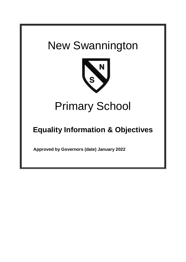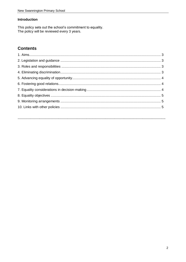### **Introduction**

This policy sets out the school's commitment to equality.<br>The policy will be reviewed every 3 years.

# **Contents**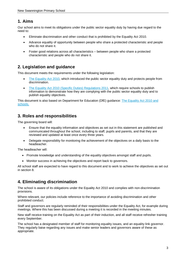### **1. Aims**

Our school aims to meet its obligations under the public sector equality duty by having due regard to the need to:

- Eliminate discrimination and other conduct that is prohibited by the Equality Act 2010.
- Advance equality of opportunity between people who share a protected characteristic and people who do not share it.
- Foster good relations across all characteristics between people who share a protected characteristic and people who do not share it.

## **2. Legislation and guidance**

This document meets the requirements under the following legislation:

- [The Equality Act 2010,](http://www.legislation.gov.uk/ukpga/2010/15/contents) which introduced the public sector equality duty and protects people from discrimination.
- [The Equality Act 2010 \(Specific](http://www.legislation.gov.uk/uksi/2011/2260/contents/made) Duties) Regulations 2011, which require schools to publish information to demonstrate how they are complying with the public sector equality duty and to publish equality objectives.

This document is also based on Department for Education (DfE) guidance: [The Equality Act 2010 and](https://www.gov.uk/government/uploads/system/uploads/attachment_data/file/315587/Equality_Act_Advice_Final.pdf)  [schools.](https://www.gov.uk/government/uploads/system/uploads/attachment_data/file/315587/Equality_Act_Advice_Final.pdf) 

## **3. Roles and responsibilities**

The governing board will:

- Ensure that the equality information and objectives as set out in this statement are published and communicated throughout the school, including to staff, pupils and parents, and that they are reviewed and updated at least once every three years.
- Delegate responsibility for monitoring the achievement of the objectives on a daily basis to the headteacher.

The headteacher will:

- Promote knowledge and understanding of the equality objectives amongst staff and pupils.
- Monitor success in achieving the objectives and report back to governors.

All school staff are expected to have regard to this document and to work to achieve the objectives as set out in section 8.

## **4. Eliminating discrimination**

The school is aware of its obligations under the Equality Act 2010 and complies with non-discrimination provisions.

Where relevant, our policies include reference to the importance of avoiding discrimination and other prohibited conduct.

Staff and governors are regularly reminded of their responsibilities under the Equality Act, for example during meetings. Where this has been discussed during a meeting it is recorded in the meeting minutes.

New staff receive training on the Equality Act as part of their induction, and all staff receive refresher training every September.

The school has a designated member of staff for monitoring equality issues, and an equality link governor. They regularly liaise regarding any issues and make senior leaders and governors aware of these as appropriate.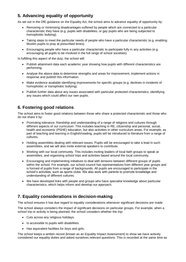# **5. Advancing equality of opportunity**

As set out in the DfE guidance on the Equality Act, the school aims to advance equality of opportunity by:

- Removing or minimising disadvantages suffered by people which are connected to a particular characteristic they have (e.g. pupils with disabilities, or gay pupils who are being subjected to homophobic bullying).
- Taking steps to meet the particular needs of people who have a particular characteristic (e.g. enabling Muslim pupils to pray at prescribed times).
- Encouraging people who have a particular characteristic to participate fully in any activities (e.g. encouraging all pupils to be involved in the full range of school societies).

In fulfilling this aspect of the duty, the school will:

- Publish attainment data each academic year showing how pupils with different characteristics are performing.
- Analyse the above data to determine strengths and areas for improvement, implement actions in response and publish this information.
- Make evidence available identifying improvements for specific groups (e.g. declines in incidents of homophobic or transphobic bullying).
- Publish further data about any issues associated with particular protected characteristics, identifying any issues which could affect our own pupils.

## **6. Fostering good relations**

The school aims to foster good relations between those who share a protected characteristic and those who do not share it by:

- Promoting tolerance, friendship and understanding of a range of religions and cultures through different aspects of our curriculum. This includes teaching in RE, citizenship and personal, social, health and economic (PSHE) education, but also activities in other curriculum areas. For example, as part of teaching and learning in English/reading, pupils will be introduced to literature from a range of cultures.
- Holding assemblies dealing with relevant issues. Pupils will be encouraged to take a lead in such assemblies, and we will also invite external speakers to contribute.
- Working with our local community. This includes inviting leaders of local faith groups to speak at assemblies, and organising school trips and activities based around the local community.
- Encouraging and implementing initiatives to deal with tensions between different groups of pupils within the school. For example, our school council has representatives from different year groups and is formed of pupils from a range of backgrounds. All pupils are encouraged to participate in the school's activities, such as sports clubs. We also work with parents to promote knowledge and understanding of different cultures.
- We have developed links with people and groups who have specialist knowledge about particular characteristics, which helps inform and develop our approach.

# **7. Equality considerations in decision-making**

The school ensures it has due regard to equality considerations whenever significant decisions are made.

The school always considers the impact of significant decisions on particular groups. For example, when a school trip or activity is being planned, the school considers whether the trip:

- Cuts across any religious holidays.
- Is accessible to pupils with disabilities.
- Has equivalent facilities for boys and girls.

The school keeps a written record (known as an Equality Impact Assessment) to show we have actively considered our equality duties and asked ourselves relevant questions. This is recorded at the same time as